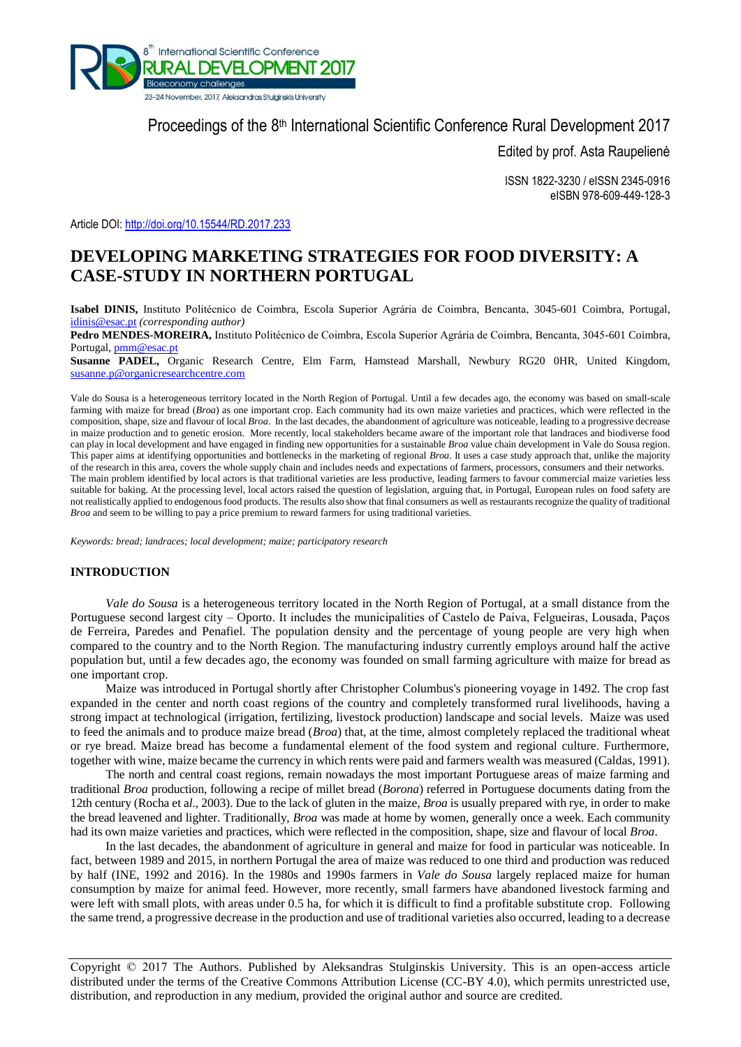

# Proceedings of the 8<sup>th</sup> International Scientific Conference Rural Development 2017

Edited by prof. Asta Raupelienė

ISSN 1822-3230 / eISSN 2345-0916 eISBN 978-609-449-128-3

Article DOI:<http://doi.org/10.15544/RD.2017.233>

## **DEVELOPING MARKETING STRATEGIES FOR FOOD DIVERSITY: A CASE-STUDY IN NORTHERN PORTUGAL**

**Isabel DINIS,** Instituto Politécnico de Coimbra, Escola Superior Agrária de Coimbra, Bencanta, 3045-601 Coimbra, Portugal, [idinis@esac.pt](mailto:idinis@esac.pt) *(corresponding author)*

**Pedro MENDES-MOREIRA,** Instituto Politécnico de Coimbra, Escola Superior Agrária de Coimbra, Bencanta, 3045-601 Coimbra, Portugal[, pmm@esac.pt](mailto:pmm@esac.pt)

**Susanne PADEL,** Organic Research Centre, Elm Farm, Hamstead Marshall, Newbury RG20 0HR, United Kingdom, [susanne.p@organicresearchcentre.com](mailto:susanne.p@organicresearchcentre.com)

Vale do Sousa is a heterogeneous territory located in the North Region of Portugal. Until a few decades ago, the economy was based on small-scale farming with maize for bread (*Broa*) as one important crop. Each community had its own maize varieties and practices, which were reflected in the composition, shape, size and flavour of local *Broa*. In the last decades, the abandonment of agriculture was noticeable, leading to a progressive decrease in maize production and to genetic erosion. More recently, local stakeholders became aware of the important role that landraces and biodiverse food can play in local development and have engaged in finding new opportunities for a sustainable *Broa* value chain development in Vale do Sousa region. This paper aims at identifying opportunities and bottlenecks in the marketing of regional *Broa*. It uses a case study approach that, unlike the majority of the research in this area, covers the whole supply chain and includes needs and expectations of farmers, processors, consumers and their networks. The main problem identified by local actors is that traditional varieties are less productive, leading farmers to favour commercial maize varieties less suitable for baking. At the processing level, local actors raised the question of legislation, arguing that, in Portugal, European rules on food safety are not realistically applied to endogenous food products. The results also show that final consumers as well as restaurants recognize the quality of traditional *Broa* and seem to be willing to pay a price premium to reward farmers for using traditional varieties.

*Keywords: bread; landraces; local development; maize; participatory research*

## **INTRODUCTION**

*Vale do Sousa* is a heterogeneous territory located in the North Region of Portugal, at a small distance from the Portuguese second largest city – Oporto. It includes the municipalities of Castelo de Paiva, Felgueiras, Lousada, Paços de Ferreira, Paredes and Penafiel. The population density and the percentage of young people are very high when compared to the country and to the North Region. The manufacturing industry currently employs around half the active population but, until a few decades ago, the economy was founded on small farming agriculture with maize for bread as one important crop.

Maize was introduced in Portugal shortly after Christopher Columbus's pioneering voyage in 1492. The crop fast expanded in the center and north coast regions of the country and completely transformed rural livelihoods, having a strong impact at technological (irrigation, fertilizing, livestock production) landscape and social levels. Maize was used to feed the animals and to produce maize bread (*Broa*) that, at the time, almost completely replaced the traditional wheat or rye bread. Maize bread has become a fundamental element of the food system and regional culture. Furthermore, together with wine, maize became the currency in which rents were paid and farmers wealth was measured (Caldas, 1991).

The north and central coast regions, remain nowadays the most important Portuguese areas of maize farming and traditional *Broa* production, following a recipe of millet bread (*Borona*) referred in Portuguese documents dating from the 12th century (Rocha et a*l*., 2003). Due to the lack of gluten in the maize, *Broa* is usually prepared with rye, in order to make the bread leavened and lighter. Traditionally, *Broa* was made at home by women, generally once a week. Each community had its own maize varieties and practices, which were reflected in the composition, shape, size and flavour of local *Broa*.

In the last decades, the abandonment of agriculture in general and maize for food in particular was noticeable. In fact, between 1989 and 2015, in northern Portugal the area of maize was reduced to one third and production was reduced by half (INE, 1992 and 2016). In the 1980s and 1990s farmers in *Vale do Sousa* largely replaced maize for human consumption by maize for animal feed. However, more recently, small farmers have abandoned livestock farming and were left with small plots, with areas under 0.5 ha, for which it is difficult to find a profitable substitute crop. Following the same trend, a progressive decrease in the production and use of traditional varieties also occurred, leading to a decrease

Copyright © 2017 The Authors. Published by Aleksandras Stulginskis University. This is an open-access article distributed under the terms of the Creative Commons Attribution License (CC-BY 4.0), which permits unrestricted use, distribution, and reproduction in any medium, provided the original author and source are credited.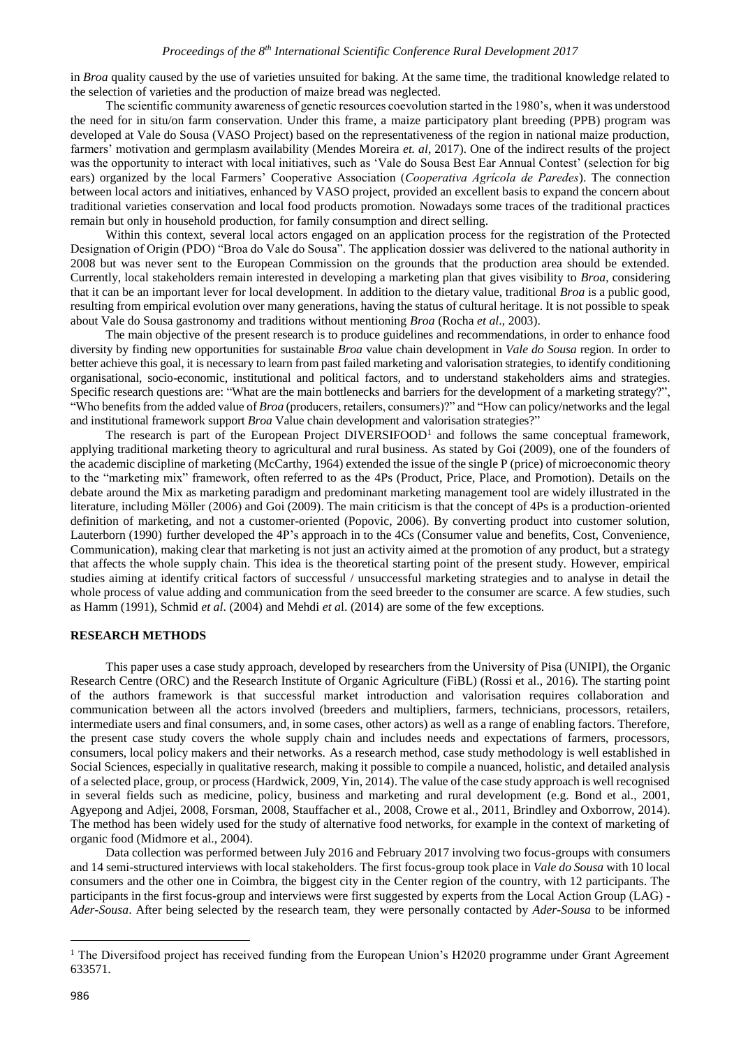in *Broa* quality caused by the use of varieties unsuited for baking. At the same time, the traditional knowledge related to the selection of varieties and the production of maize bread was neglected.

The scientific community awareness of genetic resources coevolution started in the 1980's*,* when it was understood the need for in situ/on farm conservation. Under this frame, a maize participatory plant breeding (PPB) program was developed at Vale do Sousa (VASO Project) based on the representativeness of the region in national maize production, farmers' motivation and germplasm availability (Mendes Moreira *et. al*, 2017). One of the indirect results of the project was the opportunity to interact with local initiatives, such as 'Vale do Sousa Best Ear Annual Contest' (selection for big ears) organized by the local Farmers' Cooperative Association (*Cooperativa Agrícola de Paredes*). The connection between local actors and initiatives, enhanced by VASO project, provided an excellent basis to expand the concern about traditional varieties conservation and local food products promotion. Nowadays some traces of the traditional practices remain but only in household production, for family consumption and direct selling.

Within this context, several local actors engaged on an application process for the registration of the Protected Designation of Origin (PDO) "Broa do Vale do Sousa". The application dossier was delivered to the national authority in 2008 but was never sent to the European Commission on the grounds that the production area should be extended. Currently, local stakeholders remain interested in developing a marketing plan that gives visibility to *Broa*, considering that it can be an important lever for local development. In addition to the dietary value, traditional *Broa* is a public good, resulting from empirical evolution over many generations, having the status of cultural heritage. It is not possible to speak about Vale do Sousa gastronomy and traditions without mentioning *Broa* (Rocha *et al*., 2003).

The main objective of the present research is to produce guidelines and recommendations, in order to enhance food diversity by finding new opportunities for sustainable *Broa* value chain development in *Vale do Sousa* region. In order to better achieve this goal, it is necessary to learn from past failed marketing and valorisation strategies, to identify conditioning organisational, socio-economic, institutional and political factors, and to understand stakeholders aims and strategies. Specific research questions are: "What are the main bottlenecks and barriers for the development of a marketing strategy?", "Who benefits from the added value of *Broa* (producers, retailers, consumers)?" and "How can policy/networks and the legal and institutional framework support *Broa* Value chain development and valorisation strategies?"

The research is part of the European Project  $DIVERSIFOOD<sup>1</sup>$  and follows the same conceptual framework, applying traditional marketing theory to agricultural and rural business. As stated by Goi (2009), one of the founders of the academic discipline of marketing (McCarthy, 1964) extended the issue of the single P (price) of microeconomic theory to the "marketing mix" framework, often referred to as the 4Ps (Product, Price, Place, and Promotion). Details on the debate around the Mix as marketing paradigm and predominant marketing management tool are widely illustrated in the literature, including Möller (2006) and Goi (2009). The main criticism is that the concept of 4Ps is a production-oriented definition of marketing, and not a customer-oriented (Popovic, 2006). By converting product into customer solution, Lauterborn (1990) further developed the 4P's approach in to the 4Cs (Consumer value and benefits, Cost, Convenience, Communication), making clear that marketing is not just an activity aimed at the promotion of any product, but a strategy that affects the whole supply chain. This idea is the theoretical starting point of the present study. However, empirical studies aiming at identify critical factors of successful / unsuccessful marketing strategies and to analyse in detail the whole process of value adding and communication from the seed breeder to the consumer are scarce. A few studies, such as Hamm (1991), Schmid *et al*. (2004) and Mehdi *et a*l. (2014) are some of the few exceptions.

## **RESEARCH METHODS**

This paper uses a case study approach, developed by researchers from the University of Pisa (UNIPI), the Organic Research Centre (ORC) and the Research Institute of Organic Agriculture (FiBL) (Rossi et al., 2016). The starting point of the authors framework is that successful market introduction and valorisation requires collaboration and communication between all the actors involved (breeders and multipliers, farmers, technicians, processors, retailers, intermediate users and final consumers, and, in some cases, other actors) as well as a range of enabling factors. Therefore, the present case study covers the whole supply chain and includes needs and expectations of farmers, processors, consumers, local policy makers and their networks. As a research method, case study methodology is well established in Social Sciences, especially in qualitative research, making it possible to compile a nuanced, holistic, and detailed analysis of a selected place, group, or process (Hardwick, 2009, Yin, 2014). The value of the case study approach is well recognised in several fields such as medicine, policy, business and marketing and rural development (e.g. Bond et al., 2001, Agyepong and Adjei, 2008, Forsman, 2008, Stauffacher et al., 2008, Crowe et al., 2011, Brindley and Oxborrow, 2014). The method has been widely used for the study of alternative food networks, for example in the context of marketing of organic food (Midmore et al., 2004).

Data collection was performed between July 2016 and February 2017 involving two focus-groups with consumers and 14 semi-structured interviews with local stakeholders. The first focus-group took place in *Vale do Sousa* with 10 local consumers and the other one in Coimbra, the biggest city in the Center region of the country, with 12 participants. The participants in the first focus-group and interviews were first suggested by experts from the Local Action Group (LAG) - *Ader-Sousa*. After being selected by the research team, they were personally contacted by *Ader-Sousa* to be informed

1

<sup>&</sup>lt;sup>1</sup> The Diversifood project has received funding from the European Union's H2020 programme under Grant Agreement 633571.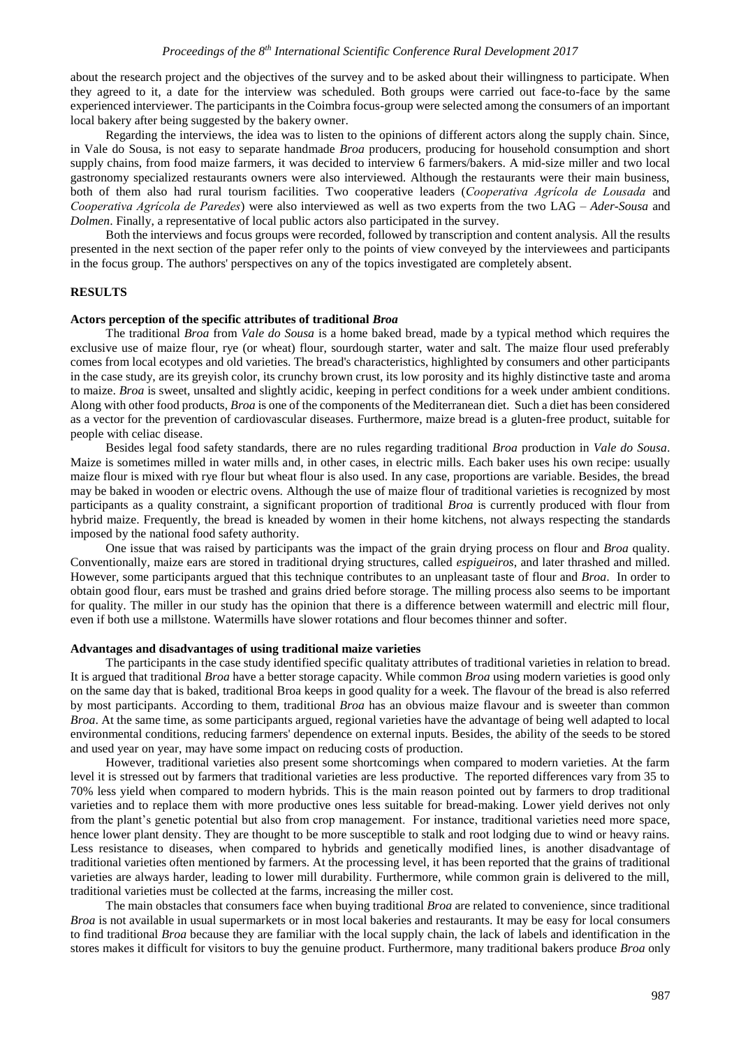about the research project and the objectives of the survey and to be asked about their willingness to participate. When they agreed to it, a date for the interview was scheduled. Both groups were carried out face-to-face by the same experienced interviewer. The participants in the Coimbra focus-group were selected among the consumers of an important local bakery after being suggested by the bakery owner.

Regarding the interviews, the idea was to listen to the opinions of different actors along the supply chain. Since, in Vale do Sousa, is not easy to separate handmade *Broa* producers, producing for household consumption and short supply chains, from food maize farmers, it was decided to interview 6 farmers/bakers. A mid-size miller and two local gastronomy specialized restaurants owners were also interviewed. Although the restaurants were their main business, both of them also had rural tourism facilities. Two cooperative leaders (*Cooperativa Agrícola de Lousada* and *Cooperativa Agrícola de Paredes*) were also interviewed as well as two experts from the two LAG – *Ader-Sousa* and *Dolmen*. Finally, a representative of local public actors also participated in the survey.

Both the interviews and focus groups were recorded, followed by transcription and content analysis. All the results presented in the next section of the paper refer only to the points of view conveyed by the interviewees and participants in the focus group. The authors' perspectives on any of the topics investigated are completely absent.

## **RESULTS**

## **Actors perception of the specific attributes of traditional** *Broa*

The traditional *Broa* from *Vale do Sousa* is a home baked bread, made by a typical method which requires the exclusive use of maize flour, rye (or wheat) flour, sourdough starter, water and salt. The maize flour used preferably comes from local ecotypes and old varieties. The bread's characteristics, highlighted by consumers and other participants in the case study, are its greyish color, its crunchy brown crust, its low porosity and its highly distinctive taste and aroma to maize. *Broa* is sweet, unsalted and slightly acidic, keeping in perfect conditions for a week under ambient conditions. Along with other food products, *Broa* is one of the components of the Mediterranean diet. Such a diet has been considered as a vector for the prevention of cardiovascular diseases. Furthermore, maize bread is a gluten-free product, suitable for people with celiac disease.

Besides legal food safety standards, there are no rules regarding traditional *Broa* production in *Vale do Sousa*. Maize is sometimes milled in water mills and, in other cases, in electric mills. Each baker uses his own recipe: usually maize flour is mixed with rye flour but wheat flour is also used. In any case, proportions are variable. Besides, the bread may be baked in wooden or electric ovens. Although the use of maize flour of traditional varieties is recognized by most participants as a quality constraint, a significant proportion of traditional *Broa* is currently produced with flour from hybrid maize. Frequently, the bread is kneaded by women in their home kitchens, not always respecting the standards imposed by the national food safety authority.

One issue that was raised by participants was the impact of the grain drying process on flour and *Broa* quality. Conventionally, maize ears are stored in traditional drying structures, called *espigueiros*, and later thrashed and milled. However, some participants argued that this technique contributes to an unpleasant taste of flour and *Broa*. In order to obtain good flour, ears must be trashed and grains dried before storage. The milling process also seems to be important for quality. The miller in our study has the opinion that there is a difference between watermill and electric mill flour, even if both use a millstone. Watermills have slower rotations and flour becomes thinner and softer.

### **Advantages and disadvantages of using traditional maize varieties**

The participants in the case study identified specific qualitaty attributes of traditional varieties in relation to bread. It is argued that traditional *Broa* have a better storage capacity. While common *Broa* using modern varieties is good only on the same day that is baked, traditional Broa keeps in good quality for a week. The flavour of the bread is also referred by most participants. According to them, traditional *Broa* has an obvious maize flavour and is sweeter than common *Broa*. At the same time, as some participants argued, regional varieties have the advantage of being well adapted to local environmental conditions, reducing farmers' dependence on external inputs. Besides, the ability of the seeds to be stored and used year on year, may have some impact on reducing costs of production.

However, traditional varieties also present some shortcomings when compared to modern varieties. At the farm level it is stressed out by farmers that traditional varieties are less productive. The reported differences vary from 35 to 70% less yield when compared to modern hybrids. This is the main reason pointed out by farmers to drop traditional varieties and to replace them with more productive ones less suitable for bread-making. Lower yield derives not only from the plant's genetic potential but also from crop management. For instance, traditional varieties need more space, hence lower plant density. They are thought to be more susceptible to stalk and root lodging due to wind or heavy rains. Less resistance to diseases, when compared to hybrids and genetically modified lines, is another disadvantage of traditional varieties often mentioned by farmers. At the processing level, it has been reported that the grains of traditional varieties are always harder, leading to lower mill durability. Furthermore, while common grain is delivered to the mill, traditional varieties must be collected at the farms, increasing the miller cost.

The main obstacles that consumers face when buying traditional *Broa* are related to convenience, since traditional *Broa* is not available in usual supermarkets or in most local bakeries and restaurants. It may be easy for local consumers to find traditional *Broa* because they are familiar with the local supply chain, the lack of labels and identification in the stores makes it difficult for visitors to buy the genuine product. Furthermore, many traditional bakers produce *Broa* only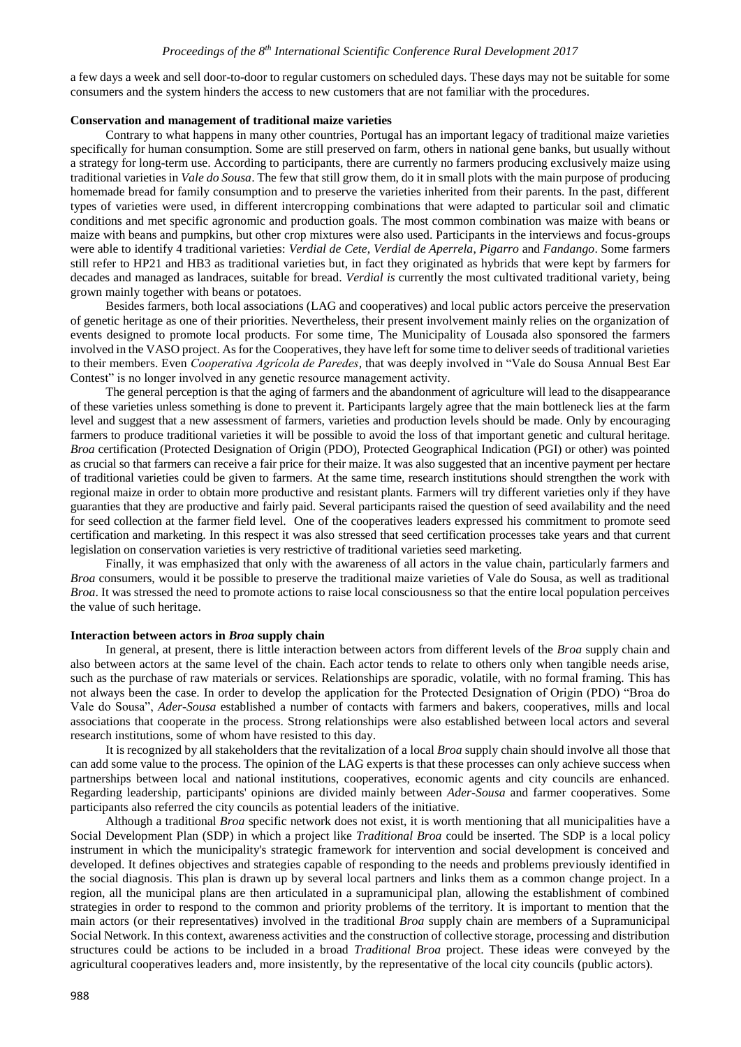a few days a week and sell door-to-door to regular customers on scheduled days. These days may not be suitable for some consumers and the system hinders the access to new customers that are not familiar with the procedures.

#### **Conservation and management of traditional maize varieties**

Contrary to what happens in many other countries, Portugal has an important legacy of traditional maize varieties specifically for human consumption. Some are still preserved on farm, others in national gene banks, but usually without a strategy for long-term use. According to participants, there are currently no farmers producing exclusively maize using traditional varieties in *Vale do Sousa*. The few that still grow them, do it in small plots with the main purpose of producing homemade bread for family consumption and to preserve the varieties inherited from their parents. In the past, different types of varieties were used, in different intercropping combinations that were adapted to particular soil and climatic conditions and met specific agronomic and production goals. The most common combination was maize with beans or maize with beans and pumpkins, but other crop mixtures were also used. Participants in the interviews and focus-groups were able to identify 4 traditional varieties: *Verdial de Cete*, *Verdial de Aperrela*, *Pigarro* and *Fandango*. Some farmers still refer to HP21 and HB3 as traditional varieties but, in fact they originated as hybrids that were kept by farmers for decades and managed as landraces, suitable for bread. *Verdial is* currently the most cultivated traditional variety, being grown mainly together with beans or potatoes.

Besides farmers, both local associations (LAG and cooperatives) and local public actors perceive the preservation of genetic heritage as one of their priorities. Nevertheless, their present involvement mainly relies on the organization of events designed to promote local products. For some time, The Municipality of Lousada also sponsored the farmers involved in the VASO project. As for the Cooperatives, they have left for some time to deliver seeds of traditional varieties to their members. Even *Cooperativa Agrícola de Paredes,* that was deeply involved in "Vale do Sousa Annual Best Ear Contest" is no longer involved in any genetic resource management activity.

The general perception is that the aging of farmers and the abandonment of agriculture will lead to the disappearance of these varieties unless something is done to prevent it. Participants largely agree that the main bottleneck lies at the farm level and suggest that a new assessment of farmers, varieties and production levels should be made. Only by encouraging farmers to produce traditional varieties it will be possible to avoid the loss of that important genetic and cultural heritage. *Broa* certification (Protected Designation of Origin (PDO), Protected Geographical Indication (PGI) or other) was pointed as crucial so that farmers can receive a fair price for their maize. It was also suggested that an incentive payment per hectare of traditional varieties could be given to farmers. At the same time, research institutions should strengthen the work with regional maize in order to obtain more productive and resistant plants. Farmers will try different varieties only if they have guaranties that they are productive and fairly paid. Several participants raised the question of seed availability and the need for seed collection at the farmer field level. One of the cooperatives leaders expressed his commitment to promote seed certification and marketing. In this respect it was also stressed that seed certification processes take years and that current legislation on conservation varieties is very restrictive of traditional varieties seed marketing.

Finally, it was emphasized that only with the awareness of all actors in the value chain, particularly farmers and *Broa* consumers, would it be possible to preserve the traditional maize varieties of Vale do Sousa, as well as traditional *Broa*. It was stressed the need to promote actions to raise local consciousness so that the entire local population perceives the value of such heritage.

#### **Interaction between actors in** *Broa* **supply chain**

In general, at present, there is little interaction between actors from different levels of the *Broa* supply chain and also between actors at the same level of the chain. Each actor tends to relate to others only when tangible needs arise, such as the purchase of raw materials or services. Relationships are sporadic, volatile, with no formal framing. This has not always been the case. In order to develop the application for the Protected Designation of Origin (PDO) "Broa do Vale do Sousa", *Ader-Sousa* established a number of contacts with farmers and bakers, cooperatives, mills and local associations that cooperate in the process. Strong relationships were also established between local actors and several research institutions, some of whom have resisted to this day.

It is recognized by all stakeholders that the revitalization of a local *Broa* supply chain should involve all those that can add some value to the process. The opinion of the LAG experts is that these processes can only achieve success when partnerships between local and national institutions, cooperatives, economic agents and city councils are enhanced. Regarding leadership, participants' opinions are divided mainly between *Ader-Sousa* and farmer cooperatives. Some participants also referred the city councils as potential leaders of the initiative.

Although a traditional *Broa* specific network does not exist, it is worth mentioning that all municipalities have a Social Development Plan (SDP) in which a project like *Traditional Broa* could be inserted. The SDP is a local policy instrument in which the municipality's strategic framework for intervention and social development is conceived and developed. It defines objectives and strategies capable of responding to the needs and problems previously identified in the social diagnosis. This plan is drawn up by several local partners and links them as a common change project. In a region, all the municipal plans are then articulated in a supramunicipal plan, allowing the establishment of combined strategies in order to respond to the common and priority problems of the territory. It is important to mention that the main actors (or their representatives) involved in the traditional *Broa* supply chain are members of a Supramunicipal Social Network. In this context, awareness activities and the construction of collective storage, processing and distribution structures could be actions to be included in a broad *Traditional Broa* project. These ideas were conveyed by the agricultural cooperatives leaders and, more insistently, by the representative of the local city councils (public actors).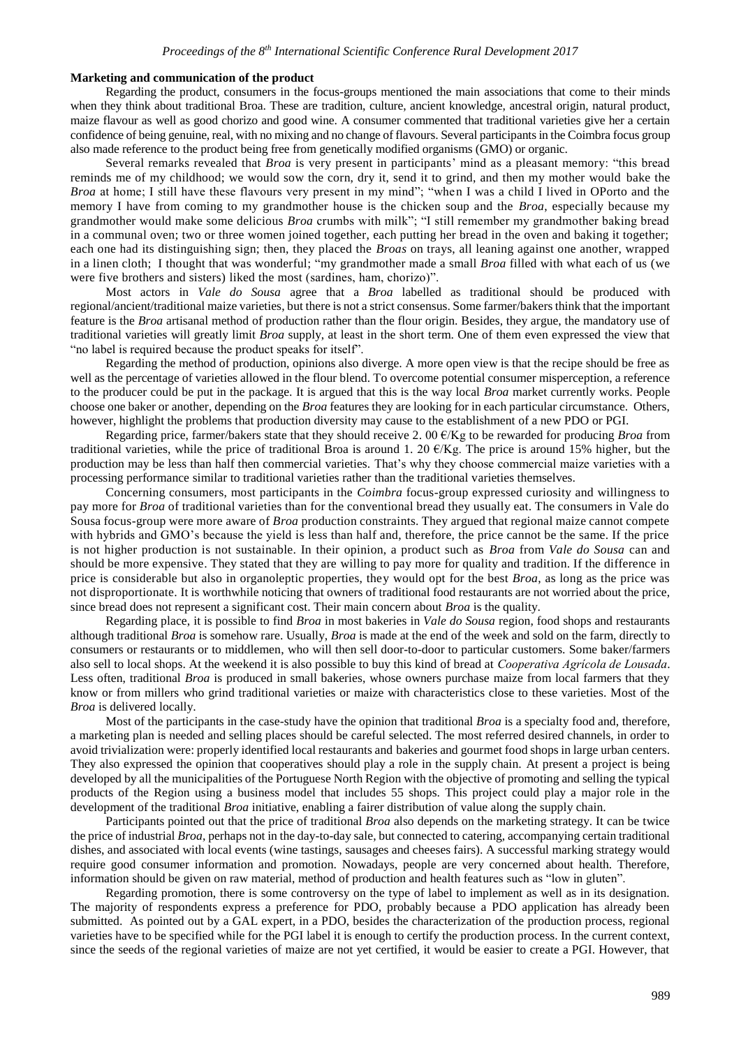## **Marketing and communication of the product**

Regarding the product, consumers in the focus-groups mentioned the main associations that come to their minds when they think about traditional Broa. These are tradition, culture, ancient knowledge, ancestral origin, natural product, maize flavour as well as good chorizo and good wine. A consumer commented that traditional varieties give her a certain confidence of being genuine, real, with no mixing and no change of flavours. Several participants in the Coimbra focus group also made reference to the product being free from genetically modified organisms (GMO) or organic.

Several remarks revealed that *Broa* is very present in participants' mind as a pleasant memory: "this bread reminds me of my childhood; we would sow the corn, dry it, send it to grind, and then my mother would bake the *Broa* at home; I still have these flavours very present in my mind"; "when I was a child I lived in OPorto and the memory I have from coming to my grandmother house is the chicken soup and the *Broa*, especially because my grandmother would make some delicious *Broa* crumbs with milk"; "I still remember my grandmother baking bread in a communal oven; two or three women joined together, each putting her bread in the oven and baking it together; each one had its distinguishing sign; then, they placed the *Broas* on trays, all leaning against one another, wrapped in a linen cloth; I thought that was wonderful; "my grandmother made a small *Broa* filled with what each of us (we were five brothers and sisters) liked the most (sardines, ham, chorizo)".

Most actors in *Vale do Sousa* agree that a *Broa* labelled as traditional should be produced with regional/ancient/traditional maize varieties, but there is not a strict consensus. Some farmer/bakers think that the important feature is the *Broa* artisanal method of production rather than the flour origin. Besides, they argue, the mandatory use of traditional varieties will greatly limit *Broa* supply, at least in the short term. One of them even expressed the view that "no label is required because the product speaks for itself".

Regarding the method of production, opinions also diverge. A more open view is that the recipe should be free as well as the percentage of varieties allowed in the flour blend. To overcome potential consumer misperception, a reference to the producer could be put in the package. It is argued that this is the way local *Broa* market currently works. People choose one baker or another, depending on the *Broa* features they are looking for in each particular circumstance. Others, however, highlight the problems that production diversity may cause to the establishment of a new PDO or PGI.

Regarding price, farmer/bakers state that they should receive 2. 00 €/Kg to be rewarded for producing *Broa* from traditional varieties, while the price of traditional Broa is around 1. 20  $\epsilon$ /Kg. The price is around 15% higher, but the production may be less than half then commercial varieties. That's why they choose commercial maize varieties with a processing performance similar to traditional varieties rather than the traditional varieties themselves.

Concerning consumers, most participants in the *Coimbra* focus-group expressed curiosity and willingness to pay more for *Broa* of traditional varieties than for the conventional bread they usually eat. The consumers in Vale do Sousa focus-group were more aware of *Broa* production constraints. They argued that regional maize cannot compete with hybrids and GMO's because the yield is less than half and, therefore, the price cannot be the same. If the price is not higher production is not sustainable. In their opinion, a product such as *Broa* from *Vale do Sousa* can and should be more expensive. They stated that they are willing to pay more for quality and tradition. If the difference in price is considerable but also in organoleptic properties, they would opt for the best *Broa*, as long as the price was not disproportionate. It is worthwhile noticing that owners of traditional food restaurants are not worried about the price, since bread does not represent a significant cost. Their main concern about *Broa* is the quality.

Regarding place, it is possible to find *Broa* in most bakeries in *Vale do Sousa* region, food shops and restaurants although traditional *Broa* is somehow rare. Usually, *Broa* is made at the end of the week and sold on the farm, directly to consumers or restaurants or to middlemen, who will then sell door-to-door to particular customers. Some baker/farmers also sell to local shops. At the weekend it is also possible to buy this kind of bread at *Cooperativa Agrícola de Lousada*. Less often, traditional *Broa* is produced in small bakeries, whose owners purchase maize from local farmers that they know or from millers who grind traditional varieties or maize with characteristics close to these varieties. Most of the *Broa* is delivered locally.

Most of the participants in the case-study have the opinion that traditional *Broa* is a specialty food and, therefore, a marketing plan is needed and selling places should be careful selected. The most referred desired channels, in order to avoid trivialization were: properly identified local restaurants and bakeries and gourmet food shops in large urban centers. They also expressed the opinion that cooperatives should play a role in the supply chain. At present a project is being developed by all the municipalities of the Portuguese North Region with the objective of promoting and selling the typical products of the Region using a business model that includes 55 shops. This project could play a major role in the development of the traditional *Broa* initiative, enabling a fairer distribution of value along the supply chain.

Participants pointed out that the price of traditional *Broa* also depends on the marketing strategy. It can be twice the price of industrial *Broa*, perhaps not in the day-to-day sale, but connected to catering, accompanying certain traditional dishes, and associated with local events (wine tastings, sausages and cheeses fairs). A successful marking strategy would require good consumer information and promotion. Nowadays, people are very concerned about health. Therefore, information should be given on raw material, method of production and health features such as "low in gluten".

Regarding promotion, there is some controversy on the type of label to implement as well as in its designation. The majority of respondents express a preference for PDO, probably because a PDO application has already been submitted. As pointed out by a GAL expert, in a PDO, besides the characterization of the production process, regional varieties have to be specified while for the PGI label it is enough to certify the production process. In the current context, since the seeds of the regional varieties of maize are not yet certified, it would be easier to create a PGI. However, that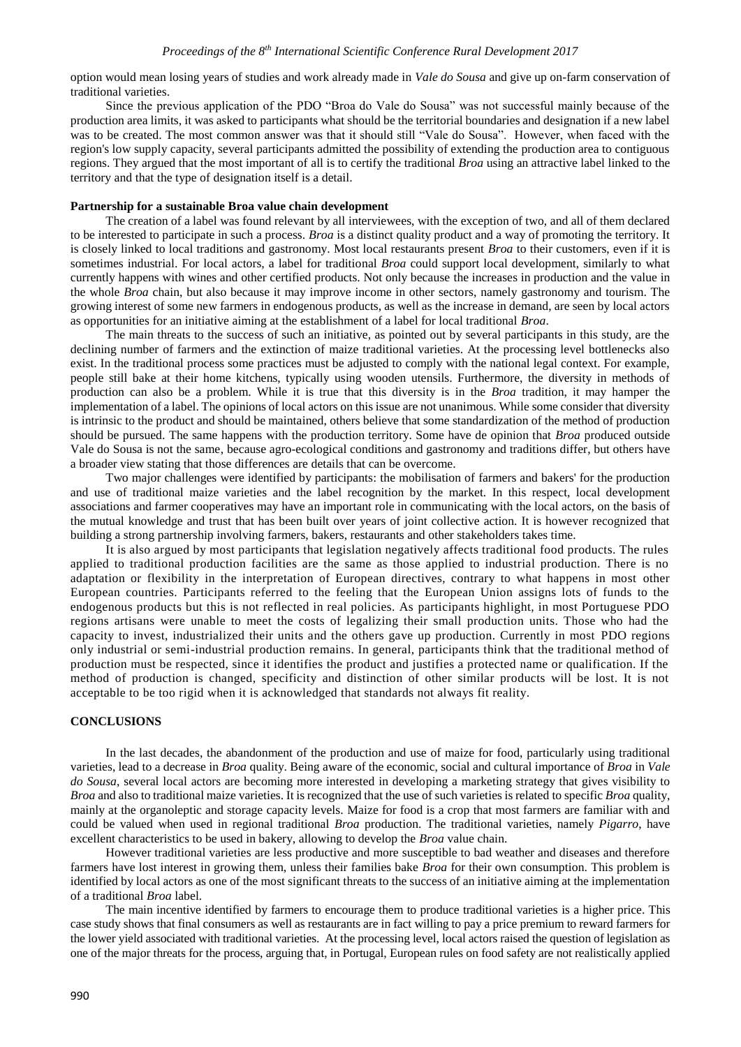option would mean losing years of studies and work already made in *Vale do Sousa* and give up on-farm conservation of traditional varieties.

Since the previous application of the PDO "Broa do Vale do Sousa" was not successful mainly because of the production area limits, it was asked to participants what should be the territorial boundaries and designation if a new label was to be created. The most common answer was that it should still "Vale do Sousa". However, when faced with the region's low supply capacity, several participants admitted the possibility of extending the production area to contiguous regions. They argued that the most important of all is to certify the traditional *Broa* using an attractive label linked to the territory and that the type of designation itself is a detail.

## **Partnership for a sustainable Broa value chain development**

The creation of a label was found relevant by all interviewees, with the exception of two, and all of them declared to be interested to participate in such a process. *Broa* is a distinct quality product and a way of promoting the territory. It is closely linked to local traditions and gastronomy. Most local restaurants present *Broa* to their customers, even if it is sometimes industrial. For local actors, a label for traditional *Broa* could support local development, similarly to what currently happens with wines and other certified products. Not only because the increases in production and the value in the whole *Broa* chain, but also because it may improve income in other sectors, namely gastronomy and tourism. The growing interest of some new farmers in endogenous products, as well as the increase in demand, are seen by local actors as opportunities for an initiative aiming at the establishment of a label for local traditional *Broa*.

The main threats to the success of such an initiative, as pointed out by several participants in this study, are the declining number of farmers and the extinction of maize traditional varieties. At the processing level bottlenecks also exist. In the traditional process some practices must be adjusted to comply with the national legal context. For example, people still bake at their home kitchens, typically using wooden utensils. Furthermore, the diversity in methods of production can also be a problem. While it is true that this diversity is in the *Broa* tradition, it may hamper the implementation of a label. The opinions of local actors on this issue are not unanimous. While some consider that diversity is intrinsic to the product and should be maintained, others believe that some standardization of the method of production should be pursued. The same happens with the production territory. Some have de opinion that *Broa* produced outside Vale do Sousa is not the same, because agro-ecological conditions and gastronomy and traditions differ, but others have a broader view stating that those differences are details that can be overcome.

Two major challenges were identified by participants: the mobilisation of farmers and bakers' for the production and use of traditional maize varieties and the label recognition by the market. In this respect, local development associations and farmer cooperatives may have an important role in communicating with the local actors, on the basis of the mutual knowledge and trust that has been built over years of joint collective action. It is however recognized that building a strong partnership involving farmers, bakers, restaurants and other stakeholders takes time.

It is also argued by most participants that legislation negatively affects traditional food products. The rules applied to traditional production facilities are the same as those applied to industrial production. There is no adaptation or flexibility in the interpretation of European directives, contrary to what happens in most other European countries. Participants referred to the feeling that the European Union assigns lots of funds to the endogenous products but this is not reflected in real policies. As participants highlight, in most Portuguese PDO regions artisans were unable to meet the costs of legalizing their small production units. Those who had the capacity to invest, industrialized their units and the others gave up production. Currently in most PDO regions only industrial or semi-industrial production remains. In general, participants think that the traditional method of production must be respected, since it identifies the product and justifies a protected name or qualification. If the method of production is changed, specificity and distinction of other similar products will be lost. It is not acceptable to be too rigid when it is acknowledged that standards not always fit reality.

### **CONCLUSIONS**

In the last decades, the abandonment of the production and use of maize for food, particularly using traditional varieties, lead to a decrease in *Broa* quality. Being aware of the economic, social and cultural importance of *Broa* in *Vale do Sousa*, several local actors are becoming more interested in developing a marketing strategy that gives visibility to *Broa* and also to traditional maize varieties. It is recognized that the use of such varieties is related to specific *Broa* quality, mainly at the organoleptic and storage capacity levels. Maize for food is a crop that most farmers are familiar with and could be valued when used in regional traditional *Broa* production. The traditional varieties, namely *Pigarro*, have excellent characteristics to be used in bakery, allowing to develop the *Broa* value chain.

However traditional varieties are less productive and more susceptible to bad weather and diseases and therefore farmers have lost interest in growing them, unless their families bake *Broa* for their own consumption. This problem is identified by local actors as one of the most significant threats to the success of an initiative aiming at the implementation of a traditional *Broa* label.

The main incentive identified by farmers to encourage them to produce traditional varieties is a higher price. This case study shows that final consumers as well as restaurants are in fact willing to pay a price premium to reward farmers for the lower yield associated with traditional varieties. At the processing level, local actors raised the question of legislation as one of the major threats for the process, arguing that, in Portugal, European rules on food safety are not realistically applied